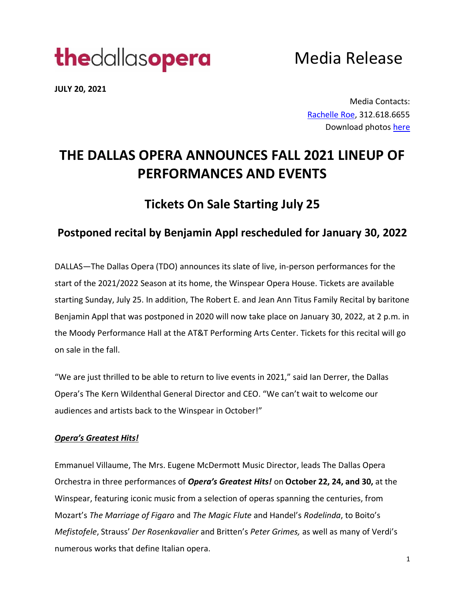# thedallasopera

Media Release

**JULY 20, 2021** 

Media Contacts: [Rachelle Roe,](mailto:Rachelle@artsetcpr.com) 312.618.6655 Download photos [here](https://www.dropbox.com/sh/ult0kurpw5qscn3/AABrxzCPKV1tyPuyCXYc2qyBa?dl=0)

## **THE DALLAS OPERA ANNOUNCES FALL 2021 LINEUP OF PERFORMANCES AND EVENTS**

## **Tickets On Sale Starting July 25**

### **Postponed recital by Benjamin Appl rescheduled for January 30, 2022**

DALLAS—The Dallas Opera (TDO) announces its slate of live, in-person performances for the start of the 2021/2022 Season at its home, the Winspear Opera House. Tickets are available starting Sunday, July 25. In addition, The Robert E. and Jean Ann Titus Family Recital by baritone Benjamin Appl that was postponed in 2020 will now take place on January 30, 2022, at 2 p.m. in the Moody Performance Hall at the AT&T Performing Arts Center. Tickets for this recital will go on sale in the fall.

"We are just thrilled to be able to return to live events in 2021," said Ian Derrer, the Dallas Opera's The Kern Wildenthal General Director and CEO. "We can't wait to welcome our audiences and artists back to the Winspear in October!"

#### *Opera's Greatest Hits!*

Emmanuel Villaume, The Mrs. Eugene McDermott Music Director, leads The Dallas Opera Orchestra in three performances of *Opera's Greatest Hits!* on **October 22, 24, and 30,** at the Winspear, featuring iconic music from a selection of operas spanning the centuries, from Mozart's *The Marriage of Figaro* and *The Magic Flute* and Handel's *Rodelinda*, to Boito's *Mefistofele*, Strauss' *Der Rosenkavalier* and Britten's *Peter Grimes,* as well as many of Verdi's numerous works that define Italian opera.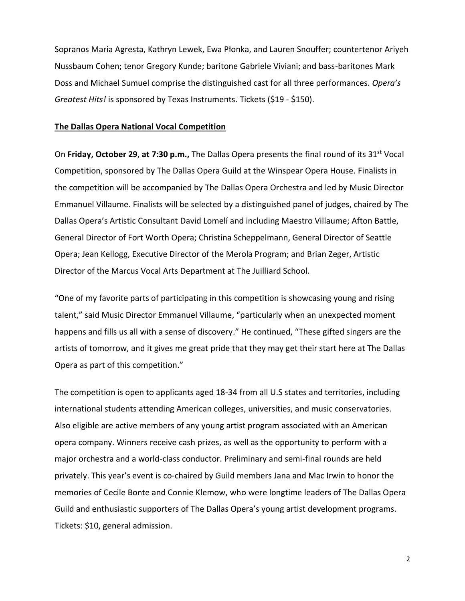Sopranos Maria Agresta, Kathryn Lewek, Ewa Płonka, and Lauren Snouffer; countertenor Ariyeh Nussbaum Cohen; tenor Gregory Kunde; baritone Gabriele Viviani; and bass-baritones Mark Doss and Michael Sumuel comprise the distinguished cast for all three performances. *Opera's Greatest Hits!* is sponsored by Texas Instruments. Tickets (\$19 - \$150).

#### **The Dallas Opera National Vocal Competition**

On **Friday, October 29**, **at 7:30 p.m.,** The Dallas Opera presents the final round of its 31st Vocal Competition, sponsored by The Dallas Opera Guild at the Winspear Opera House. Finalists in the competition will be accompanied by The Dallas Opera Orchestra and led by Music Director Emmanuel Villaume. Finalists will be selected by a distinguished panel of judges, chaired by The Dallas Opera's Artistic Consultant David Lomelí and including Maestro Villaume; Afton Battle, General Director of Fort Worth Opera; Christina Scheppelmann, General Director of Seattle Opera; Jean Kellogg, Executive Director of the Merola Program; and Brian Zeger, Artistic Director of the Marcus Vocal Arts Department at The Juilliard School.

"One of my favorite parts of participating in this competition is showcasing young and rising talent," said Music Director Emmanuel Villaume, "particularly when an unexpected moment happens and fills us all with a sense of discovery." He continued, "These gifted singers are the artists of tomorrow, and it gives me great pride that they may get their start here at The Dallas Opera as part of this competition."

The competition is open to applicants aged 18-34 from all U.S states and territories, including international students attending American colleges, universities, and music conservatories. Also eligible are active members of any young artist program associated with an American opera company. Winners receive cash prizes, as well as the opportunity to perform with a major orchestra and a world-class conductor. Preliminary and semi-final rounds are held privately. This year's event is co-chaired by Guild members Jana and Mac Irwin to honor the memories of Cecile Bonte and Connie Klemow, who were longtime leaders of The Dallas Opera Guild and enthusiastic supporters of The Dallas Opera's young artist development programs. Tickets: \$10, general admission.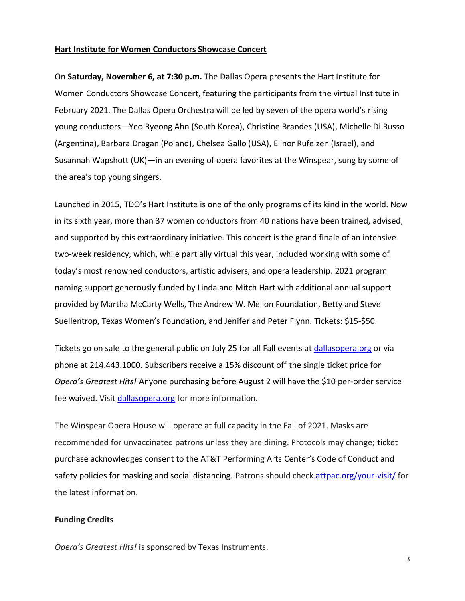#### **Hart Institute for Women Conductors Showcase Concert**

On **Saturday, November 6, at 7:30 p.m.** The Dallas Opera presents the Hart Institute for Women Conductors Showcase Concert, featuring the participants from the virtual Institute in February 2021. The Dallas Opera Orchestra will be led by seven of the opera world's rising young conductors—Yeo Ryeong Ahn (South Korea), Christine Brandes (USA), Michelle Di Russo (Argentina), Barbara Dragan (Poland), Chelsea Gallo (USA), Elinor Rufeizen (Israel), and Susannah Wapshott (UK)—in an evening of opera favorites at the Winspear, sung by some of the area's top young singers.

Launched in 2015, TDO's Hart Institute is one of the only programs of its kind in the world. Now in its sixth year, more than 37 women conductors from 40 nations have been trained, advised, and supported by this extraordinary initiative. This concert is the grand finale of an intensive two-week residency, which, while partially virtual this year, included working with some of today's most renowned conductors, artistic advisers, and opera leadership. 2021 program naming support generously funded by Linda and Mitch Hart with additional annual support provided by Martha McCarty Wells, The Andrew W. Mellon Foundation, Betty and Steve Suellentrop, Texas Women's Foundation, and Jenifer and Peter Flynn. Tickets: \$15-\$50.

Tickets go on sale to the general public on July 25 for all Fall events at [dallasopera.org](http://www.dallasopera.org/) or via phone at 214.443.1000. Subscribers receive a 15% discount off the single ticket price for *Opera's Greatest Hits!* Anyone purchasing before August 2 will have the \$10 per-order service fee waived. Visi[t dallasopera.org](http://www.dallasopera.org/) for more information.

The Winspear Opera House will operate at full capacity in the Fall of 2021. Masks are recommended for unvaccinated patrons unless they are dining. Protocols may change; ticket purchase acknowledges consent to the AT&T Performing Arts Center's Code of Conduct and safety policies for masking and social distancing. Patrons should check [attpac.org/your-visit/](http://www.attpac.org/your-visit/) for the latest information.

#### **Funding Credits**

*Opera's Greatest Hits!* is sponsored by Texas Instruments.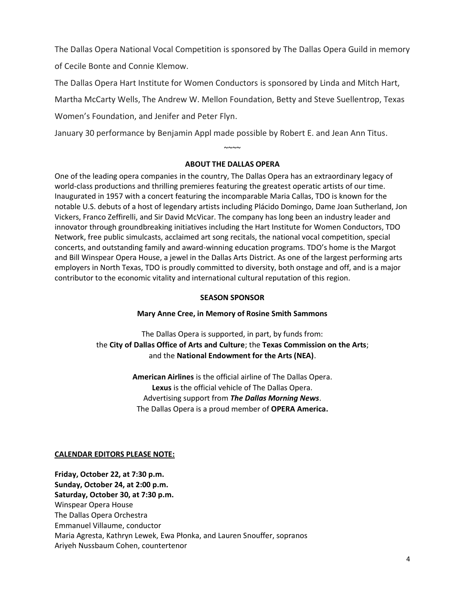The Dallas Opera National Vocal Competition is sponsored by The Dallas Opera Guild in memory of Cecile Bonte and Connie Klemow.

The Dallas Opera Hart Institute for Women Conductors is sponsored by Linda and Mitch Hart,

Martha McCarty Wells, The Andrew W. Mellon Foundation, Betty and Steve Suellentrop, Texas

Women's Foundation, and Jenifer and Peter Flyn.

January 30 performance by Benjamin Appl made possible by Robert E. and Jean Ann Titus.

#### **ABOUT THE DALLAS OPERA**

 $\sim\sim\sim$ 

One of the leading opera companies in the country, The Dallas Opera has an extraordinary legacy of world-class productions and thrilling premieres featuring the greatest operatic artists of our time. Inaugurated in 1957 with a concert featuring the incomparable Maria Callas, TDO is known for the notable U.S. debuts of a host of legendary artists including Plácido Domingo, Dame Joan Sutherland, Jon Vickers, Franco Zeffirelli, and Sir David McVicar. The company has long been an industry leader and innovator through groundbreaking initiatives including the Hart Institute for Women Conductors, TDO Network, free public simulcasts, acclaimed art song recitals, the national vocal competition, special concerts, and outstanding family and award-winning education programs. TDO's home is the Margot and Bill Winspear Opera House, a jewel in the Dallas Arts District. As one of the largest performing arts employers in North Texas, TDO is proudly committed to diversity, both onstage and off, and is a major contributor to the economic vitality and international cultural reputation of this region.

#### **SEASON SPONSOR**

#### **Mary Anne Cree, in Memory of Rosine Smith Sammons**

The Dallas Opera is supported, in part, by funds from: the **City of Dallas Office of Arts and Culture**; the **Texas Commission on the Arts**; and the **National Endowment for the Arts (NEA)**.

> **American Airlines** is the official airline of The Dallas Opera. **Lexus** is the official vehicle of The Dallas Opera. Advertising support from *The Dallas Morning News*. The Dallas Opera is a proud member of **OPERA America.**

#### **CALENDAR EDITORS PLEASE NOTE:**

**Friday, October 22, at 7:30 p.m. Sunday, October 24, at 2:00 p.m. Saturday, October 30, at 7:30 p.m.** Winspear Opera House The Dallas Opera Orchestra Emmanuel Villaume, conductor Maria Agresta, Kathryn Lewek, Ewa Płonka, and Lauren Snouffer, sopranos Ariyeh Nussbaum Cohen, countertenor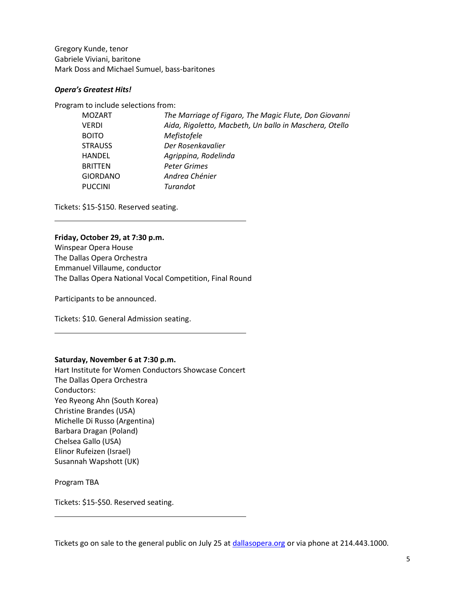Gregory Kunde, tenor Gabriele Viviani, baritone Mark Doss and Michael Sumuel, bass-baritones

#### *Opera's Greatest Hits!*

Program to include selections from:

| The Marriage of Figaro, The Magic Flute, Don Giovanni  |
|--------------------------------------------------------|
| Aida, Rigoletto, Macbeth, Un ballo in Maschera, Otello |
| Mefistofele                                            |
| Der Rosenkavalier                                      |
| Agrippina, Rodelinda                                   |
| Peter Grimes                                           |
| Andrea Chénier                                         |
| Turandot                                               |
|                                                        |

Tickets: \$15-\$150. Reserved seating.

#### **Friday, October 29, at 7:30 p.m.**

Winspear Opera House The Dallas Opera Orchestra Emmanuel Villaume, conductor The Dallas Opera National Vocal Competition, Final Round

Participants to be announced.

Tickets: \$10. General Admission seating.

#### **Saturday, November 6 at 7:30 p.m.**

Hart Institute for Women Conductors Showcase Concert The Dallas Opera Orchestra Conductors: Yeo Ryeong Ahn (South Korea) Christine Brandes (USA) Michelle Di Russo (Argentina) Barbara Dragan (Poland) Chelsea Gallo (USA) Elinor Rufeizen (Israel) Susannah Wapshott (UK)

Program TBA

Tickets: \$15-\$50. Reserved seating.